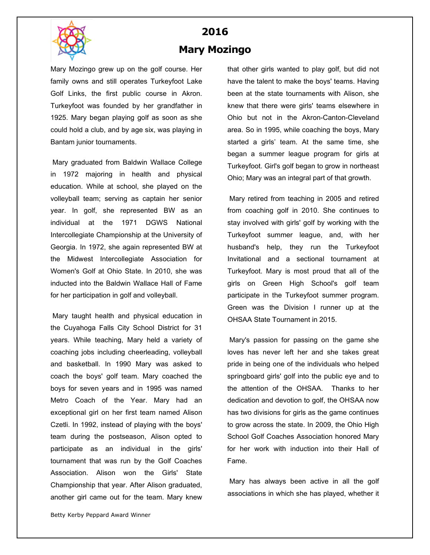

## **2016 Mary Mozingo**

Mary Mozingo grew up on the golf course. Her family owns and still operates Turkeyfoot Lake Golf Links, the first public course in Akron. Turkeyfoot was founded by her grandfather in 1925. Mary began playing golf as soon as she could hold a club, and by age six, was playing in Bantam junior tournaments.

Mary graduated from Baldwin Wallace College in 1972 majoring in health and physical education. While at school, she played on the volleyball team; serving as captain her senior year. In golf, she represented BW as an individual at the 1971 DGWS National Intercollegiate Championship at the University of Georgia. In 1972, she again represented BW at the Midwest Intercollegiate Association for Women's Golf at Ohio State. In 2010, she was inducted into the Baldwin Wallace Hall of Fame for her participation in golf and volleyball.

Mary taught health and physical education in the Cuyahoga Falls City School District for 31 years. While teaching, Mary held a variety of coaching jobs including cheerleading, volleyball and basketball. In 1990 Mary was asked to coach the boys' golf team. Mary coached the boys for seven years and in 1995 was named Metro Coach of the Year. Mary had an exceptional girl on her first team named Alison Czetli. In 1992, instead of playing with the boys' team during the postseason, Alison opted to participate as an individual in the girls' tournament that was run by the Golf Coaches Association. Alison won the Girls' State Championship that year. After Alison graduated, another girl came out for the team. Mary knew

that other girls wanted to play golf, but did not have the talent to make the boys' teams. Having been at the state tournaments with Alison, she knew that there were girls' teams elsewhere in Ohio but not in the Akron-Canton-Cleveland area. So in 1995, while coaching the boys, Mary started a girls' team. At the same time, she began a summer league program for girls at Turkeyfoot. Girl's golf began to grow in northeast Ohio; Mary was an integral part of that growth.

Mary retired from teaching in 2005 and retired from coaching golf in 2010. She continues to stay involved with girls' golf by working with the Turkeyfoot summer league, and, with her husband's help, they run the Turkeyfoot Invitational and a sectional tournament at Turkeyfoot. Mary is most proud that all of the girls on Green High School's golf team participate in the Turkeyfoot summer program. Green was the Division I runner up at the OHSAA State Tournament in 2015.

Mary's passion for passing on the game she loves has never left her and she takes great pride in being one of the individuals who helped springboard girls' golf into the public eye and to the attention of the OHSAA. Thanks to her dedication and devotion to golf, the OHSAA now has two divisions for girls as the game continues to grow across the state. In 2009, the Ohio High School Golf Coaches Association honored Mary for her work with induction into their Hall of Fame.

Mary has always been active in all the golf associations in which she has played, whether it